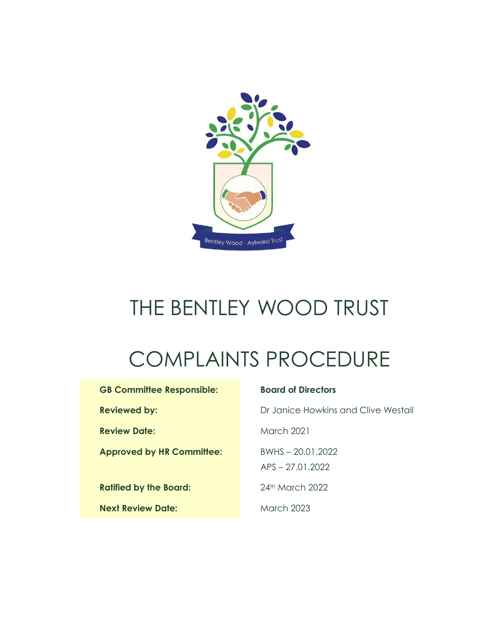

# THE BENTLEY WOOD TRUST

# COMPLAINTS PROCEDURE

| <b>GB Committee Responsible:</b> |  |
|----------------------------------|--|
| <b>Reviewed by:</b>              |  |
| <b>Review Date:</b>              |  |
| <b>Approved by HR Committee:</b> |  |
|                                  |  |
| <b>Ratified by the Board:</b>    |  |
| <b>Next Review Date:</b>         |  |

#### **Board of Directors**

**Dr Janice Howkins and Clive Westall** 

**March 2021** 

**Approved by HR Committee:** BWHS – 20.01.2022

APS – 27.01.2022

**Ratified by the Board:** 24th March 2022

**March 2023**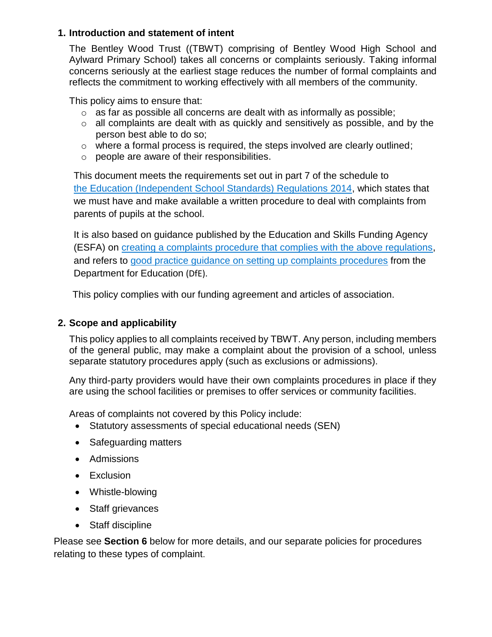#### **1. Introduction and statement of intent**

The Bentley Wood Trust ((TBWT) comprising of Bentley Wood High School and Aylward Primary School) takes all concerns or complaints seriously. Taking informal concerns seriously at the earliest stage reduces the number of formal complaints and reflects the commitment to working effectively with all members of the community.

This policy aims to ensure that:

- $\circ$  as far as possible all concerns are dealt with as informally as possible;
- o all complaints are dealt with as quickly and sensitively as possible, and by the person best able to do so;
- o where a formal process is required, the steps involved are clearly outlined;
- o people are aware of their responsibilities.

This document meets the requirements set out in part 7 of the schedule to the [Education \(Independent School Standards\) Regulations 2014,](http://www.legislation.gov.uk/uksi/2014/3283/schedule/made) which states that we must have and make available a written procedure to deal with complaints from parents of pupils at the school.

It is also based on guidance published by the Education and Skills Funding Agency (ESFA) on [creating a complaints procedure that complies with the above regulations,](https://www.gov.uk/government/publications/setting-up-an-academies-complaints-procedure) and refers to [good practice guidance on setting up complaints procedures](https://www.gov.uk/government/publications/school-complaints-procedures) from the Department for Education (DfE).

This policy complies with our funding agreement and articles of association.

### **2. Scope and applicability**

This policy applies to all complaints received by TBWT. Any person, including members of the general public, may make a complaint about the provision of a school, unless separate statutory procedures apply (such as exclusions or admissions).

Any third-party providers would have their own complaints procedures in place if they are using the school facilities or premises to offer services or community facilities.

Areas of complaints not covered by this Policy include:

- Statutory assessments of special educational needs (SEN)
- Safeguarding matters
- Admissions
- Exclusion
- Whistle-blowing
- Staff grievances
- Staff discipline

Please see **Section 6** below for more details, and our separate policies for procedures relating to these types of complaint.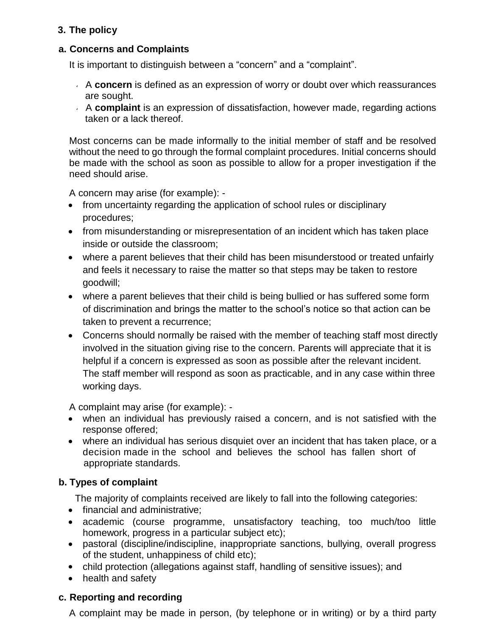# **3. The policy**

## **a. Concerns and Complaints**

It is important to distinguish between a "concern" and a "complaint".

- A **concern** is defined as an expression of worry or doubt over which reassurances are sought.
- A **complaint** is an expression of dissatisfaction, however made, regarding actions taken or a lack thereof.

Most concerns can be made informally to the initial member of staff and be resolved without the need to go through the formal complaint procedures. Initial concerns should be made with the school as soon as possible to allow for a proper investigation if the need should arise.

A concern may arise (for example): -

- from uncertainty regarding the application of school rules or disciplinary procedures;
- from misunderstanding or misrepresentation of an incident which has taken place inside or outside the classroom;
- where a parent believes that their child has been misunderstood or treated unfairly and feels it necessary to raise the matter so that steps may be taken to restore goodwill;
- where a parent believes that their child is being bullied or has suffered some form of discrimination and brings the matter to the school's notice so that action can be taken to prevent a recurrence;
- Concerns should normally be raised with the member of teaching staff most directly involved in the situation giving rise to the concern. Parents will appreciate that it is helpful if a concern is expressed as soon as possible after the relevant incident. The staff member will respond as soon as practicable, and in any case within three working days.

A complaint may arise (for example): -

- when an individual has previously raised a concern, and is not satisfied with the response offered;
- where an individual has serious disquiet over an incident that has taken place, or a decision made in the school and believes the school has fallen short of appropriate standards.

# **b. Types of complaint**

The majority of complaints received are likely to fall into the following categories:

- financial and administrative:
- academic (course programme, unsatisfactory teaching, too much/too little homework, progress in a particular subject etc);
- pastoral (discipline/indiscipline, inappropriate sanctions, bullying, overall progress of the student, unhappiness of child etc);
- child protection (allegations against staff, handling of sensitive issues); and
- health and safety

# **c. Reporting and recording**

A complaint may be made in person, (by telephone or in writing) or by a third party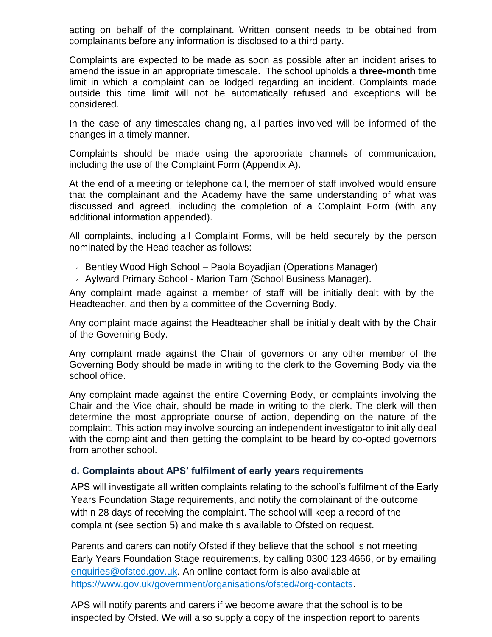acting on behalf of the complainant. Written consent needs to be obtained from complainants before any information is disclosed to a third party.

Complaints are expected to be made as soon as possible after an incident arises to amend the issue in an appropriate timescale. The school upholds a **three-month** time limit in which a complaint can be lodged regarding an incident. Complaints made outside this time limit will not be automatically refused and exceptions will be considered.

In the case of any timescales changing, all parties involved will be informed of the changes in a timely manner.

Complaints should be made using the appropriate channels of communication, including the use of the Complaint Form (Appendix A).

At the end of a meeting or telephone call, the member of staff involved would ensure that the complainant and the Academy have the same understanding of what was discussed and agreed, including the completion of a Complaint Form (with any additional information appended).

All complaints, including all Complaint Forms, will be held securely by the person nominated by the Head teacher as follows: -

- Bentley Wood High School Paola Boyadjian (Operations Manager)
- Aylward Primary School Marion Tam (School Business Manager).

Any complaint made against a member of staff will be initially dealt with by the Headteacher, and then by a committee of the Governing Body.

Any complaint made against the Headteacher shall be initially dealt with by the Chair of the Governing Body.

Any complaint made against the Chair of governors or any other member of the Governing Body should be made in writing to the clerk to the Governing Body via the school office.

Any complaint made against the entire Governing Body, or complaints involving the Chair and the Vice chair, should be made in writing to the clerk. The clerk will then determine the most appropriate course of action, depending on the nature of the complaint. This action may involve sourcing an independent investigator to initially deal with the complaint and then getting the complaint to be heard by co-opted governors from another school.

#### **d. Complaints about APS' fulfilment of early years requirements**

APS will investigate all written complaints relating to the school's fulfilment of the Early Years Foundation Stage requirements, and notify the complainant of the outcome within 28 days of receiving the complaint. The school will keep a record of the complaint (see section 5) and make this available to Ofsted on request.

Parents and carers can notify Ofsted if they believe that the school is not meeting Early Years Foundation Stage requirements, by calling 0300 123 4666, or by emailing [enquiries@ofsted.gov.uk.](mailto:enquiries@ofsted.gov.uk) An online contact form is also available at [https://www.gov.uk/government/organisations/ofsted#org-contacts.](https://www.gov.uk/government/organisations/ofsted#org-contacts)

APS will notify parents and carers if we become aware that the school is to be inspected by Ofsted. We will also supply a copy of the inspection report to parents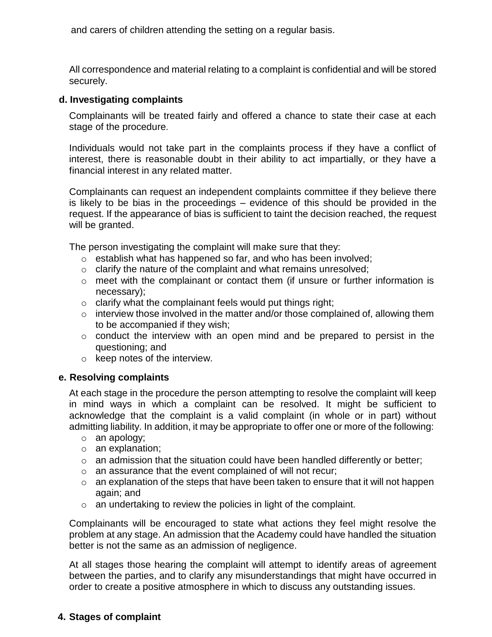and carers of children attending the setting on a regular basis.

All correspondence and material relating to a complaint is confidential and will be stored securely.

#### **d. Investigating complaints**

Complainants will be treated fairly and offered a chance to state their case at each stage of the procedure.

Individuals would not take part in the complaints process if they have a conflict of interest, there is reasonable doubt in their ability to act impartially, or they have a financial interest in any related matter.

Complainants can request an independent complaints committee if they believe there is likely to be bias in the proceedings – evidence of this should be provided in the request. If the appearance of bias is sufficient to taint the decision reached, the request will be granted.

The person investigating the complaint will make sure that they:

- o establish what has happened so far, and who has been involved;
- o clarify the nature of the complaint and what remains unresolved;
- $\circ$  meet with the complainant or contact them (if unsure or further information is necessary);
- $\circ$  clarify what the complainant feels would put things right;
- o interview those involved in the matter and/or those complained of, allowing them to be accompanied if they wish;
- o conduct the interview with an open mind and be prepared to persist in the questioning; and
- o keep notes of the interview.

#### **e. Resolving complaints**

At each stage in the procedure the person attempting to resolve the complaint will keep in mind ways in which a complaint can be resolved. It might be sufficient to acknowledge that the complaint is a valid complaint (in whole or in part) without admitting liability. In addition, it may be appropriate to offer one or more of the following:

- o an apology;
- o an explanation;
- $\circ$  an admission that the situation could have been handled differently or better;
- o an assurance that the event complained of will not recur;
- $\circ$  an explanation of the steps that have been taken to ensure that it will not happen again; and
- o an undertaking to review the policies in light of the complaint.

Complainants will be encouraged to state what actions they feel might resolve the problem at any stage. An admission that the Academy could have handled the situation better is not the same as an admission of negligence.

At all stages those hearing the complaint will attempt to identify areas of agreement between the parties, and to clarify any misunderstandings that might have occurred in order to create a positive atmosphere in which to discuss any outstanding issues.

#### **4. Stages of complaint**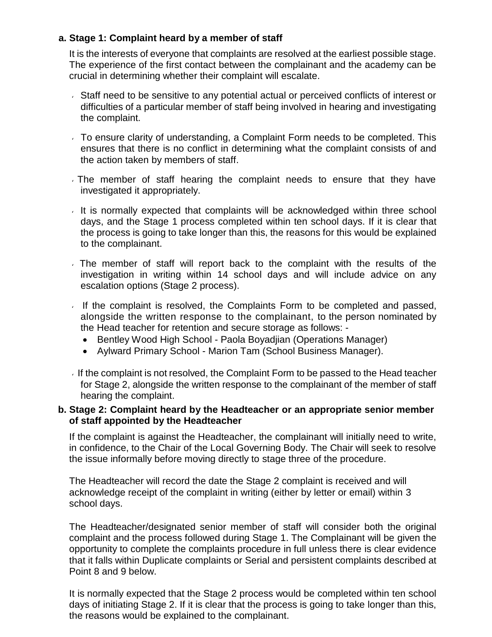#### **a. Stage 1: Complaint heard by a member of staff**

It is the interests of everyone that complaints are resolved at the earliest possible stage. The experience of the first contact between the complainant and the academy can be crucial in determining whether their complaint will escalate.

- Staff need to be sensitive to any potential actual or perceived conflicts of interest or difficulties of a particular member of staff being involved in hearing and investigating the complaint.
- To ensure clarity of understanding, a Complaint Form needs to be completed. This ensures that there is no conflict in determining what the complaint consists of and the action taken by members of staff.
- The member of staff hearing the complaint needs to ensure that they have investigated it appropriately.
- It is normally expected that complaints will be acknowledged within three school days, and the Stage 1 process completed within ten school days. If it is clear that the process is going to take longer than this, the reasons for this would be explained to the complainant.
- The member of staff will report back to the complaint with the results of the investigation in writing within 14 school days and will include advice on any escalation options (Stage 2 process).
- If the complaint is resolved, the Complaints Form to be completed and passed, alongside the written response to the complainant, to the person nominated by the Head teacher for retention and secure storage as follows: -
	- Bentley Wood High School Paola Boyadjian (Operations Manager)
	- Aylward Primary School Marion Tam (School Business Manager).

If the complaint is not resolved, the Complaint Form to be passed to the Head teacher for Stage 2, alongside the written response to the complainant of the member of staff hearing the complaint.

#### **b. Stage 2: Complaint heard by the Headteacher or an appropriate senior member of staff appointed by the Headteacher**

If the complaint is against the Headteacher, the complainant will initially need to write, in confidence, to the Chair of the Local Governing Body. The Chair will seek to resolve the issue informally before moving directly to stage three of the procedure.

The Headteacher will record the date the Stage 2 complaint is received and will acknowledge receipt of the complaint in writing (either by letter or email) within 3 school days.

The Headteacher/designated senior member of staff will consider both the original complaint and the process followed during Stage 1. The Complainant will be given the opportunity to complete the complaints procedure in full unless there is clear evidence that it falls within Duplicate complaints or Serial and persistent complaints described at Point 8 and 9 below.

It is normally expected that the Stage 2 process would be completed within ten school days of initiating Stage 2. If it is clear that the process is going to take longer than this, the reasons would be explained to the complainant.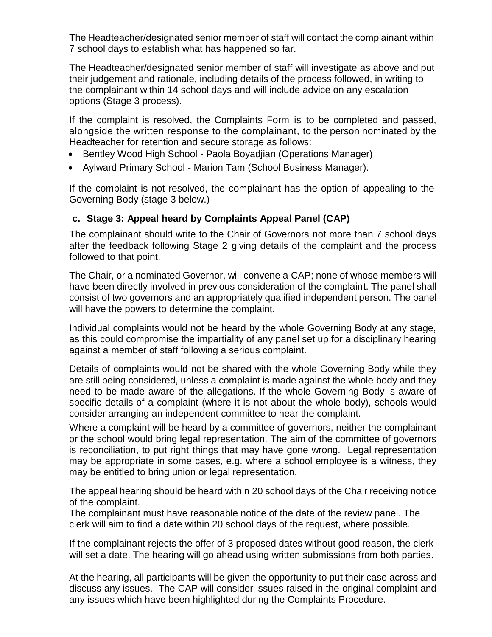The Headteacher/designated senior member of staff will contact the complainant within 7 school days to establish what has happened so far.

The Headteacher/designated senior member of staff will investigate as above and put their judgement and rationale, including details of the process followed, in writing to the complainant within 14 school days and will include advice on any escalation options (Stage 3 process).

If the complaint is resolved, the Complaints Form is to be completed and passed, alongside the written response to the complainant, to the person nominated by the Headteacher for retention and secure storage as follows:

- Bentley Wood High School Paola Boyadjian (Operations Manager)
- Aylward Primary School Marion Tam (School Business Manager).

If the complaint is not resolved, the complainant has the option of appealing to the Governing Body (stage 3 below.)

#### **c. Stage 3: Appeal heard by Complaints Appeal Panel (CAP)**

The complainant should write to the Chair of Governors not more than 7 school days after the feedback following Stage 2 giving details of the complaint and the process followed to that point.

The Chair, or a nominated Governor, will convene a CAP; none of whose members will have been directly involved in previous consideration of the complaint. The panel shall consist of two governors and an appropriately qualified independent person. The panel will have the powers to determine the complaint.

Individual complaints would not be heard by the whole Governing Body at any stage, as this could compromise the impartiality of any panel set up for a disciplinary hearing against a member of staff following a serious complaint.

Details of complaints would not be shared with the whole Governing Body while they are still being considered, unless a complaint is made against the whole body and they need to be made aware of the allegations. If the whole Governing Body is aware of specific details of a complaint (where it is not about the whole body), schools would consider arranging an independent committee to hear the complaint.

Where a complaint will be heard by a committee of governors, neither the complainant or the school would bring legal representation. The aim of the committee of governors is reconciliation, to put right things that may have gone wrong. Legal representation may be appropriate in some cases, e.g. where a school employee is a witness, they may be entitled to bring union or legal representation.

The appeal hearing should be heard within 20 school days of the Chair receiving notice of the complaint.

The complainant must have reasonable notice of the date of the review panel. The clerk will aim to find a date within 20 school days of the request, where possible.

If the complainant rejects the offer of 3 proposed dates without good reason, the clerk will set a date. The hearing will go ahead using written submissions from both parties.

At the hearing, all participants will be given the opportunity to put their case across and discuss any issues. The CAP will consider issues raised in the original complaint and any issues which have been highlighted during the Complaints Procedure.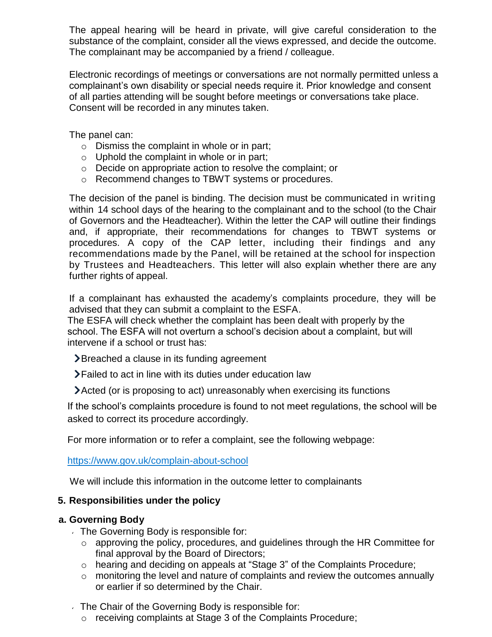The appeal hearing will be heard in private, will give careful consideration to the substance of the complaint, consider all the views expressed, and decide the outcome. The complainant may be accompanied by a friend / colleague.

Electronic recordings of meetings or conversations are not normally permitted unless a complainant's own disability or special needs require it. Prior knowledge and consent of all parties attending will be sought before meetings or conversations take place. Consent will be recorded in any minutes taken.

The panel can:

- $\circ$  Dismiss the complaint in whole or in part;
- $\circ$  Uphold the complaint in whole or in part;
- o Decide on appropriate action to resolve the complaint; or
- o Recommend changes to TBWT systems or procedures.

The decision of the panel is binding. The decision must be communicated in writing within 14 school days of the hearing to the complainant and to the school (to the Chair of Governors and the Headteacher). Within the letter the CAP will outline their findings and, if appropriate, their recommendations for changes to TBWT systems or procedures. A copy of the CAP letter, including their findings and any recommendations made by the Panel, will be retained at the school for inspection by Trustees and Headteachers. This letter will also explain whether there are any further rights of appeal.

If a complainant has exhausted the academy's complaints procedure, they will be advised that they can submit a complaint to the ESFA.

The ESFA will check whether the complaint has been dealt with properly by the school. The ESFA will not overturn a school's decision about a complaint, but will intervene if a school or trust has:

- **E** Breached a clause in its funding agreement
- Failed to act in line with its duties under education law
- Acted (or is proposing to act) unreasonably when exercising its functions

If the school's complaints procedure is found to not meet regulations, the school will be asked to correct its procedure accordingly.

For more information or to refer a complaint, see the following webpage:

#### <https://www.gov.uk/complain-about-school>

We will include this information in the outcome letter to complainants

#### **5. Responsibilities under the policy**

#### **a. Governing Body**

- The Governing Body is responsible for:
	- o approving the policy, procedures, and guidelines through the HR Committee for final approval by the Board of Directors;
	- o hearing and deciding on appeals at "Stage 3" of the Complaints Procedure;
	- o monitoring the level and nature of complaints and review the outcomes annually or earlier if so determined by the Chair.
- The Chair of the Governing Body is responsible for:
	- o receiving complaints at Stage 3 of the Complaints Procedure;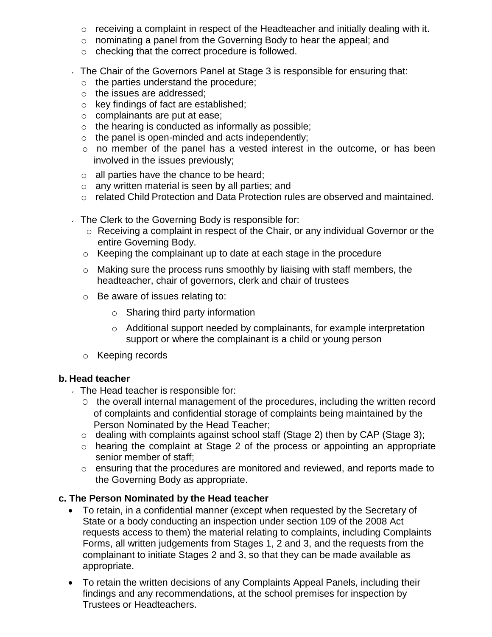- $\circ$  receiving a complaint in respect of the Headteacher and initially dealing with it.
- o nominating a panel from the Governing Body to hear the appeal; and
- o checking that the correct procedure is followed.
- The Chair of the Governors Panel at Stage 3 is responsible for ensuring that:
	- o the parties understand the procedure;
	- o the issues are addressed;
	- o key findings of fact are established;
	- o complainants are put at ease;
	- $\circ$  the hearing is conducted as informally as possible;
	- $\circ$  the panel is open-minded and acts independently;
	- o no member of the panel has a vested interest in the outcome, or has been involved in the issues previously;
	- o all parties have the chance to be heard;
	- o any written material is seen by all parties; and
	- o related Child Protection and Data Protection rules are observed and maintained.
- The Clerk to the Governing Body is responsible for:
	- o Receiving a complaint in respect of the Chair, or any individual Governor or the entire Governing Body.
	- o Keeping the complainant up to date at each stage in the procedure
	- $\circ$  Making sure the process runs smoothly by liaising with staff members, the headteacher, chair of governors, clerk and chair of trustees
	- o Be aware of issues relating to:
		- o Sharing third party information
		- o Additional support needed by complainants, for example interpretation support or where the complainant is a child or young person
	- o Keeping records

#### **b. Head teacher**

- The Head teacher is responsible for:
	- O the overall internal management of the procedures, including the written record of complaints and confidential storage of complaints being maintained by the Person Nominated by the Head Teacher;
	- o dealing with complaints against school staff (Stage 2) then by CAP (Stage 3);
	- o hearing the complaint at Stage 2 of the process or appointing an appropriate senior member of staff;
	- o ensuring that the procedures are monitored and reviewed, and reports made to the Governing Body as appropriate.

## **c. The Person Nominated by the Head teacher**

- To retain, in a confidential manner (except when requested by the Secretary of State or a body conducting an inspection under section 109 of the 2008 Act requests access to them) the material relating to complaints, including Complaints Forms, all written judgements from Stages 1, 2 and 3, and the requests from the complainant to initiate Stages 2 and 3, so that they can be made available as appropriate.
- To retain the written decisions of any Complaints Appeal Panels, including their findings and any recommendations, at the school premises for inspection by Trustees or Headteachers.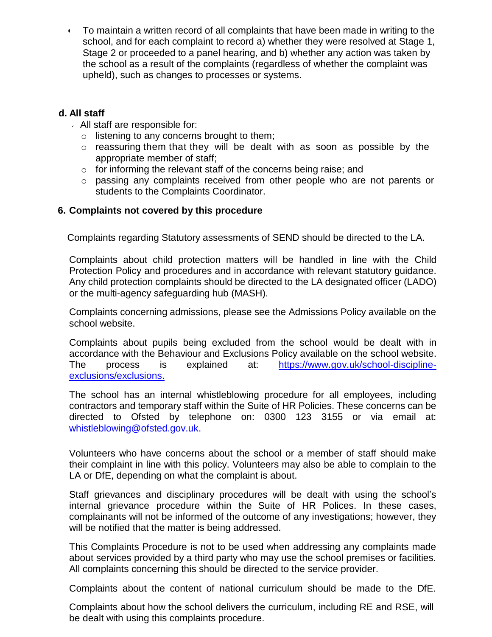• To maintain a written record of all complaints that have been made in writing to the school, and for each complaint to record a) whether they were resolved at Stage 1, Stage 2 or proceeded to a panel hearing, and b) whether any action was taken by the school as a result of the complaints (regardless of whether the complaint was upheld), such as changes to processes or systems.

#### **d. All staff**

- All staff are responsible for:
	- o listening to any concerns brought to them;
	- o reassuring them that they will be dealt with as soon as possible by the appropriate member of staff;
	- o for informing the relevant staff of the concerns being raise; and
	- $\circ$  passing any complaints received from other people who are not parents or students to the Complaints Coordinator.

#### **6. Complaints not covered by this procedure**

Complaints regarding Statutory assessments of SEND should be directed to the LA.

Complaints about child protection matters will be handled in line with the Child Protection Policy and procedures and in accordance with relevant statutory guidance. Any child protection complaints should be directed to the LA designated officer (LADO) or the multi-agency safeguarding hub (MASH).

Complaints concerning admissions, please see the Admissions Policy available on the school website.

Complaints about pupils being excluded from the school would be dealt with in accordance with the Behaviour and Exclusions Policy available on the school website. The process is explained at: [https://www.gov.uk/school-discipline](https://www.gov.uk/school-discipline-exclusions/exclusions)[exclusions/exclusions.](https://www.gov.uk/school-discipline-exclusions/exclusions)

The school has an internal whistleblowing procedure for all employees, including contractors and temporary staff within the Suite of HR Policies. These concerns can be directed to Ofsted by telephone on: 0300 123 3155 or via email at: [whistleblowing@ofsted.gov.uk.](mailto:whistleblowing@ofsted.gov.uk)

Volunteers who have concerns about the school or a member of staff should make their complaint in line with this policy. Volunteers may also be able to complain to the LA or DfE, depending on what the complaint is about.

Staff grievances and disciplinary procedures will be dealt with using the school's internal grievance procedure within the Suite of HR Polices. In these cases, complainants will not be informed of the outcome of any investigations; however, they will be notified that the matter is being addressed.

This Complaints Procedure is not to be used when addressing any complaints made about services provided by a third party who may use the school premises or facilities. All complaints concerning this should be directed to the service provider.

Complaints about the content of national curriculum should be made to the DfE.

Complaints about how the school delivers the curriculum, including RE and RSE, will be dealt with using this complaints procedure.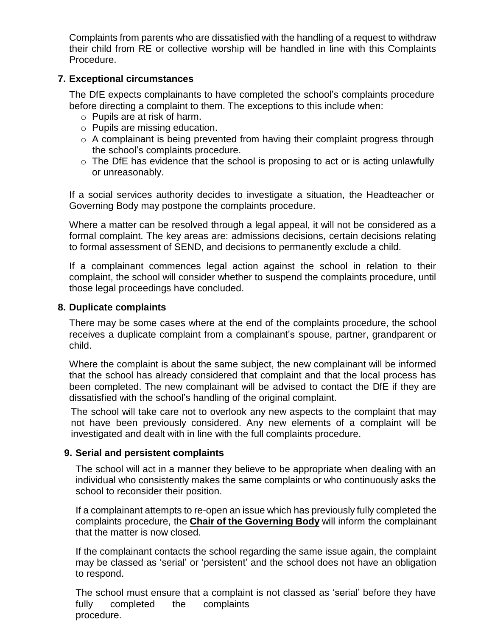Complaints from parents who are dissatisfied with the handling of a request to withdraw their child from RE or collective worship will be handled in line with this Complaints Procedure.

#### **7. Exceptional circumstances**

The DfE expects complainants to have completed the school's complaints procedure before directing a complaint to them. The exceptions to this include when:

- o Pupils are at risk of harm.
- o Pupils are missing education.
- o A complainant is being prevented from having their complaint progress through the school's complaints procedure.
- $\circ$  The DfE has evidence that the school is proposing to act or is acting unlawfully or unreasonably.

If a social services authority decides to investigate a situation, the Headteacher or Governing Body may postpone the complaints procedure.

Where a matter can be resolved through a legal appeal, it will not be considered as a formal complaint. The key areas are: admissions decisions, certain decisions relating to formal assessment of SEND, and decisions to permanently exclude a child.

If a complainant commences legal action against the school in relation to their complaint, the school will consider whether to suspend the complaints procedure, until those legal proceedings have concluded.

#### **8. Duplicate complaints**

There may be some cases where at the end of the complaints procedure, the school receives a duplicate complaint from a complainant's spouse, partner, grandparent or child.

Where the complaint is about the same subject, the new complainant will be informed that the school has already considered that complaint and that the local process has been completed. The new complainant will be advised to contact the DfE if they are dissatisfied with the school's handling of the original complaint.

The school will take care not to overlook any new aspects to the complaint that may not have been previously considered. Any new elements of a complaint will be investigated and dealt with in line with the full complaints procedure.

## **9. Serial and persistent complaints**

The school will act in a manner they believe to be appropriate when dealing with an individual who consistently makes the same complaints or who continuously asks the school to reconsider their position.

If a complainant attempts to re-open an issue which has previously fully completed the complaints procedure, the **Chair of the Governing Body** will inform the complainant that the matter is now closed.

If the complainant contacts the school regarding the same issue again, the complaint may be classed as 'serial' or 'persistent' and the school does not have an obligation to respond.

The school must ensure that a complaint is not classed as 'serial' before they have fully completed the complaints procedure.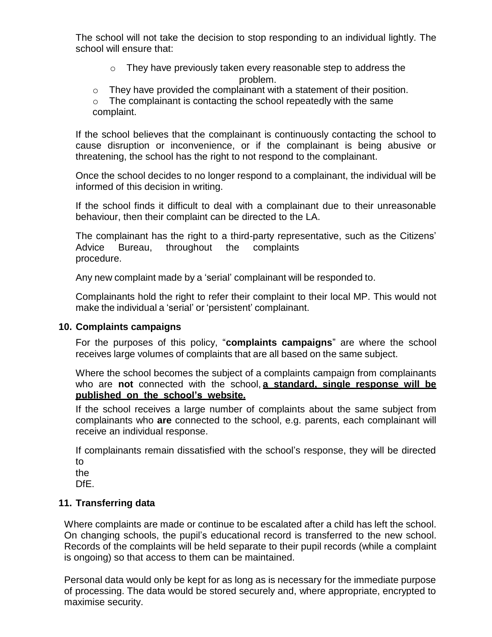The school will not take the decision to stop responding to an individual lightly. The school will ensure that:

- o They have previously taken every reasonable step to address the problem.
- $\circ$  They have provided the complainant with a statement of their position.
- $\circ$  The complainant is contacting the school repeatedly with the same complaint.

If the school believes that the complainant is continuously contacting the school to cause disruption or inconvenience, or if the complainant is being abusive or threatening, the school has the right to not respond to the complainant.

Once the school decides to no longer respond to a complainant, the individual will be informed of this decision in writing.

If the school finds it difficult to deal with a complainant due to their unreasonable behaviour, then their complaint can be directed to the LA.

The complainant has the right to a third-party representative, such as the Citizens' Advice Bureau, throughout the complaints procedure.

Any new complaint made by a 'serial' complainant will be responded to.

Complainants hold the right to refer their complaint to their local MP. This would not make the individual a 'serial' or 'persistent' complainant.

#### **10. Complaints campaigns**

For the purposes of this policy, "**complaints campaigns**" are where the school receives large volumes of complaints that are all based on the same subject.

Where the school becomes the subject of a complaints campaign from complainants who are **not** connected with the school, **a standard, single response will be published on the school's website.**

If the school receives a large number of complaints about the same subject from complainants who **are** connected to the school, e.g. parents, each complainant will receive an individual response.

If complainants remain dissatisfied with the school's response, they will be directed to

the

DfE.

#### **11. Transferring data**

Where complaints are made or continue to be escalated after a child has left the school. On changing schools, the pupil's educational record is transferred to the new school. Records of the complaints will be held separate to their pupil records (while a complaint is ongoing) so that access to them can be maintained.

Personal data would only be kept for as long as is necessary for the immediate purpose of processing. The data would be stored securely and, where appropriate, encrypted to maximise security.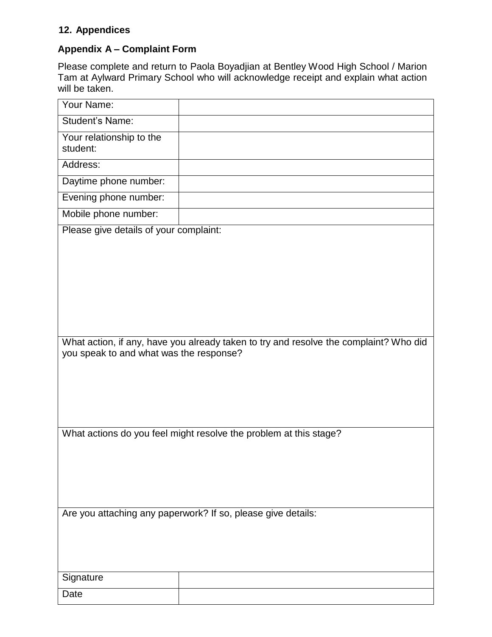# **12. Appendices**

## **Appendix A – Complaint Form**

Please complete and return to Paola Boyadjian at Bentley Wood High School / Marion Tam at Aylward Primary School who will acknowledge receipt and explain what action will be taken.

| Your Name:                                                                                                                       |  |  |
|----------------------------------------------------------------------------------------------------------------------------------|--|--|
| <b>Student's Name:</b>                                                                                                           |  |  |
| Your relationship to the<br>student:                                                                                             |  |  |
| Address:                                                                                                                         |  |  |
| Daytime phone number:                                                                                                            |  |  |
| Evening phone number:                                                                                                            |  |  |
| Mobile phone number:                                                                                                             |  |  |
| Please give details of your complaint:                                                                                           |  |  |
| What action, if any, have you already taken to try and resolve the complaint? Who did<br>you speak to and what was the response? |  |  |
| What actions do you feel might resolve the problem at this stage?                                                                |  |  |
| Are you attaching any paperwork? If so, please give details:                                                                     |  |  |
| Signature                                                                                                                        |  |  |
| Date                                                                                                                             |  |  |